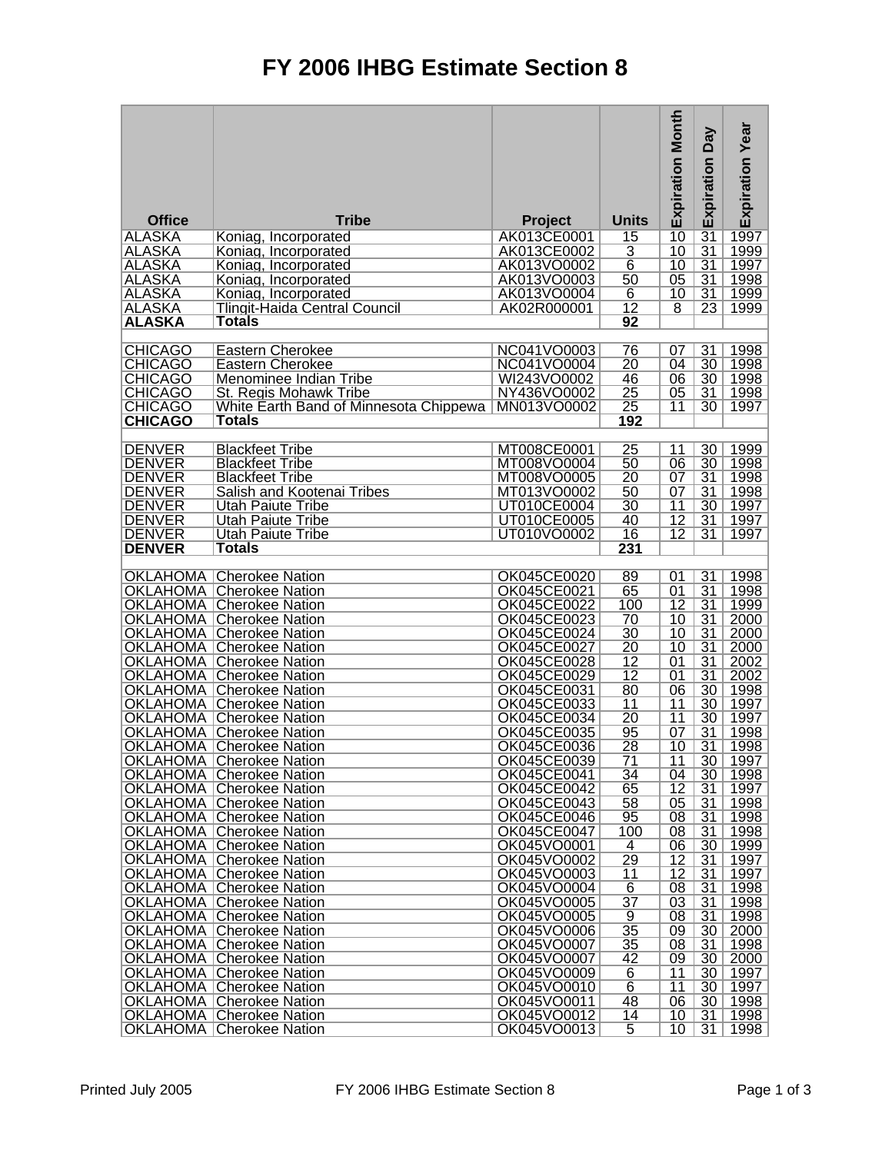## **FY 2006 IHBG Estimate Section 8**

|                                  |                                                                    |                            |                                    | <b>Expiration Month</b> | Veq<br>Expiration                  | Expiration Year |
|----------------------------------|--------------------------------------------------------------------|----------------------------|------------------------------------|-------------------------|------------------------------------|-----------------|
| <b>Office</b>                    | <b>Tribe</b>                                                       | <b>Project</b>             | <b>Units</b>                       |                         |                                    |                 |
| <b>ALASKA</b>                    | Koniag, Incorporated                                               | AK013CE0001                | 15                                 | $\overline{10}$         | $\overline{31}$                    | 1997            |
| <b>ALASKA</b>                    | Koniag, Incorporated                                               | AK013CE0002                | $\overline{3}$                     | $\overline{10}$         | $\overline{31}$                    | 1999            |
| <b>ALASKA</b>                    | Koniag, Incorporated                                               | AK013VO0002                | $\overline{6}$                     | 10                      | $\overline{31}$                    | 1997            |
| <b>ALASKA</b><br><b>ALASKA</b>   | Koniag, Incorporated<br>Koniag, Incorporated                       | AK013VO0003<br>AK013VO0004 | 50<br>$\overline{6}$               | $\overline{05}$<br>10   | $\overline{31}$<br>31              | 1998<br>1999    |
| <b>ALASKA</b>                    | <b>Tlingit-Haida Central Council</b>                               | AK02R000001                | $\overline{12}$                    | $\overline{8}$          | 23                                 | 1999            |
| <b>ALASKA</b>                    | <b>Totals</b>                                                      |                            | 92                                 |                         |                                    |                 |
|                                  |                                                                    |                            |                                    |                         |                                    |                 |
| <b>CHICAGO</b>                   | Eastern Cherokee                                                   | NC041VO0003                | 76                                 | 07                      | 31                                 | 1998            |
| <b>CHICAGO</b>                   | Eastern Cherokee                                                   | NC041VO0004                | $\overline{20}$                    | 04                      | $\overline{30}$                    | 1998            |
| <b>CHICAGO</b>                   | Menominee Indian Tribe                                             | WI243VO0002                | 46                                 | 06                      | $\overline{30}$                    | 1998            |
| <b>CHICAGO</b>                   | St. Regis Mohawk Tribe                                             | NY436VO0002                | $\overline{25}$                    | 05                      | $\overline{31}$                    | 1998            |
| <b>CHICAGO</b><br><b>CHICAGO</b> | White Earth Band of Minnesota Chippewa<br><b>Totals</b>            | MN013VO0002                | $\overline{25}$<br>192             | 11                      | 30                                 | 1997            |
|                                  |                                                                    |                            |                                    |                         |                                    |                 |
| <b>DENVER</b>                    | <b>Blackfeet Tribe</b>                                             | MT008CE0001                | $\overline{25}$                    | 11                      | 30                                 | 1999            |
| <b>DENVER</b>                    | <b>Blackfeet Tribe</b>                                             | MT008VO0004                | 50                                 | 06                      | 30                                 | 1998            |
| <b>DENVER</b>                    | <b>Blackfeet Tribe</b>                                             | MT008VO0005                | $\overline{20}$                    | 07                      | $\overline{31}$                    | 1998            |
| <b>DENVER</b>                    | Salish and Kootenai Tribes                                         | MT013VO0002                | 50                                 | 07                      | $\overline{31}$                    | 1998            |
| <b>DENVER</b>                    | <b>Utah Paiute Tribe</b>                                           | UT010CE0004                | $\overline{30}$                    | $\overline{11}$         | $\overline{30}$                    | 1997            |
| <b>DENVER</b>                    | <b>Utah Paiute Tribe</b>                                           | UT010CE0005                | 40                                 | $\overline{12}$         | $\overline{31}$                    | 1997            |
| <b>DENVER</b><br><b>DENVER</b>   | Utah Paiute Tribe<br><b>Totals</b>                                 | UT010VO0002                | 16<br>231                          | $\overline{12}$         | 31                                 | 1997            |
|                                  |                                                                    |                            |                                    |                         |                                    |                 |
|                                  | <b>OKLAHOMA Cherokee Nation</b>                                    | OK045CE0020                | 89                                 | 01                      | $\overline{31}$                    | 1998            |
|                                  | <b>OKLAHOMA Cherokee Nation</b>                                    | OK045CE0021                | 65                                 | $\overline{01}$         | $\overline{31}$                    | 1998            |
| <b>OKLAHOMA</b>                  | Cherokee Nation                                                    | OK045CE0022                | 100                                | $\overline{12}$         | $\overline{31}$                    | 1999            |
| <b>OKLAHOMA</b>                  | <b>Cherokee Nation</b>                                             | OK045CE0023                | $\overline{70}$                    | 10                      | $\overline{31}$                    | 2000            |
|                                  | <b>OKLAHOMA Cherokee Nation</b>                                    | OK045CE0024                | $\overline{30}$                    | 10                      | $\overline{31}$                    | 2000            |
| <b>OKLAHOMA</b>                  | Cherokee Nation                                                    | OK045CE0027<br>OK045CE0028 | $\overline{20}$<br>$\overline{12}$ | $\overline{10}$<br>01   | $\overline{31}$<br>$\overline{31}$ | 2000<br>2002    |
| <b>OKLAHOMA</b>                  | <b>OKLAHOMA Cherokee Nation</b><br>Cherokee Nation                 | OK045CE0029                | $\overline{12}$                    | 01                      | $\overline{31}$                    | 2002            |
| <b>OKLAHOMA</b>                  | Cherokee Nation                                                    | OK045CE0031                | 80                                 | 06                      | $\overline{30}$                    | 1998            |
|                                  | <b>OKLAHOMA Cherokee Nation</b>                                    | OK045CE0033                | $\overline{11}$                    | 11                      | $\overline{30}$                    | 1997            |
| <b>OKLAHOMA</b>                  | <b>Cherokee Nation</b>                                             | OK045CE0034                | $\overline{20}$                    | $\overline{11}$         | 30                                 | 1997            |
| <b>OKLAHOMA</b>                  | <b>Cherokee Nation</b>                                             | OK045CE0035                | 95                                 | 07                      | $\overline{31}$                    | 1998            |
| <b>OKLAHOMA</b>                  | Cherokee Nation                                                    | <b>OK045CE0036</b>         | $\overline{28}$                    | 10                      | $\overline{31}$                    | 1998            |
|                                  | <b>OKLAHOMA Cherokee Nation</b>                                    | OK045CE0039                | 71                                 | 11                      | 30                                 | 1997            |
|                                  | OKLAHOMA   Cherokee Nation<br><b>OKLAHOMA Cherokee Nation</b>      | OK045CE0041<br>OK045CE0042 | 34<br>65                           | 04<br>12                | 30<br>31                           | 1998<br>1997    |
|                                  | <b>OKLAHOMA Cherokee Nation</b>                                    | OK045CE0043                | 58                                 | 05                      | $\overline{31}$                    | 1998            |
|                                  | <b>OKLAHOMA Cherokee Nation</b>                                    | OK045CE0046                | 95                                 | $\overline{08}$         | 31                                 | 1998            |
|                                  | <b>OKLAHOMA Cherokee Nation</b>                                    | OK045CE0047                | 100                                | 08                      | 31                                 | 1998            |
|                                  | <b>OKLAHOMA Cherokee Nation</b>                                    | OK045VO0001                | 4                                  | 06                      | 30                                 | 1999            |
|                                  | <b>OKLAHOMA Cherokee Nation</b>                                    | OK045VO0002                | 29                                 | 12                      | 31                                 | 1997            |
|                                  | <b>OKLAHOMA Cherokee Nation</b>                                    | OK045VO0003                | $\overline{11}$                    | $\overline{12}$         | 31                                 | 1997            |
|                                  | <b>OKLAHOMA Cherokee Nation</b>                                    | OK045VO0004                | $\overline{6}$                     | $\overline{08}$         | 31                                 | 1998            |
|                                  | <b>OKLAHOMA Cherokee Nation</b><br><b>OKLAHOMA Cherokee Nation</b> | OK045VO0005<br>OK045VO0005 | $\overline{37}$<br>9               | 03<br>$\overline{08}$   | 31<br>31                           | 1998<br>1998    |
|                                  | <b>OKLAHOMA Cherokee Nation</b>                                    | OK045VO0006                | $\overline{35}$                    | 09                      | 30                                 | 2000            |
|                                  | <b>OKLAHOMA Cherokee Nation</b>                                    | OK045VO0007                | 35                                 | 08                      | 31                                 | 1998            |
|                                  | <b>OKLAHOMA Cherokee Nation</b>                                    | OK045VO0007                | 42                                 | 09                      | 30                                 | 2000            |
|                                  | <b>OKLAHOMA Cherokee Nation</b>                                    | OK045VO0009                | 6                                  | 11                      | 30                                 | 1997            |
|                                  | <b>OKLAHOMA Cherokee Nation</b>                                    | OK045VO0010                | $\overline{6}$                     | 11                      | 30                                 | 1997            |
|                                  | <b>OKLAHOMA Cherokee Nation</b>                                    | OK045VO0011                | 48                                 | 06                      | 30                                 | 1998            |
|                                  | <b>OKLAHOMA Cherokee Nation</b>                                    | OK045VO0012                | 14                                 | 10                      | 31                                 | 1998            |
|                                  | <b>OKLAHOMA Cherokee Nation</b>                                    | OK045VO0013                | 5                                  | 10                      | 31                                 | 1998            |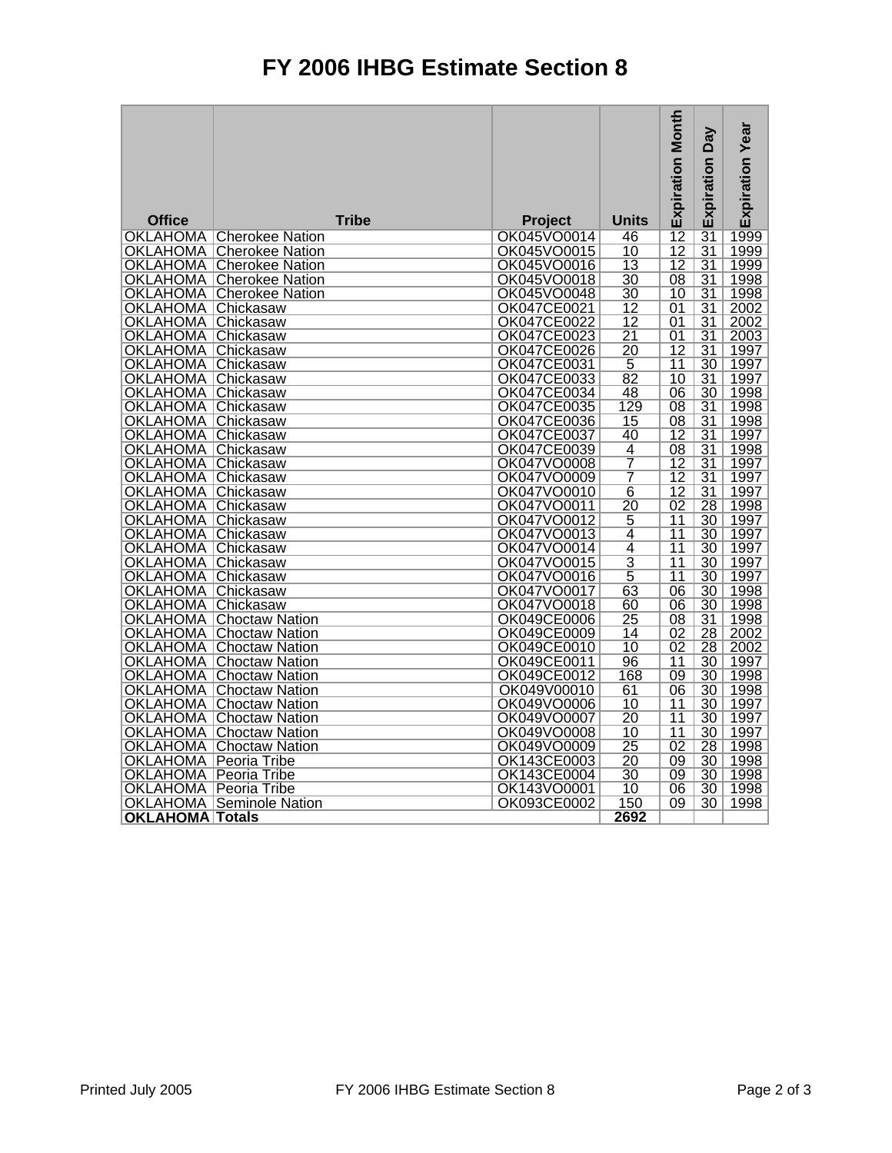## **FY 2006 IHBG Estimate Section 8**

|                                |                                                                    |                            |                         | <b>Expiration Month</b> | <b>Day</b>      | <b>Expiration Year</b> |
|--------------------------------|--------------------------------------------------------------------|----------------------------|-------------------------|-------------------------|-----------------|------------------------|
|                                |                                                                    |                            |                         |                         | Expiration      |                        |
|                                |                                                                    |                            |                         |                         |                 |                        |
|                                |                                                                    |                            |                         |                         |                 |                        |
| <b>Office</b>                  | <b>Tribe</b>                                                       | Project                    | <b>Units</b>            | $\overline{12}$         | $\overline{31}$ | 1999                   |
|                                | <b>OKLAHOMA Cherokee Nation</b><br><b>OKLAHOMA Cherokee Nation</b> | OK045VO0014<br>OK045VO0015 | 46<br>$\overline{10}$   | $\overline{12}$         | $\overline{31}$ | 1999                   |
|                                | <b>OKLAHOMA Cherokee Nation</b>                                    | OK045VO0016                | $\overline{13}$         | $\overline{12}$         | $\overline{31}$ | 1999                   |
|                                | <b>OKLAHOMA Cherokee Nation</b>                                    | OK045VO0018                | $\overline{30}$         | $\overline{08}$         | $\overline{31}$ | 1998                   |
|                                | <b>OKLAHOMA Cherokee Nation</b>                                    | OK045VO0048                | $\overline{30}$         | $\overline{10}$         | $\overline{31}$ | 1998                   |
| <b>OKLAHOMA</b>                | <b>Chickasaw</b>                                                   | OK047CE0021                | $\overline{12}$         | $\overline{01}$         | $\overline{31}$ | 2002                   |
| <b>OKLAHOMA</b>                | Chickasaw                                                          | OK047CE0022                | $\overline{12}$         | 01                      | $\overline{31}$ | 2002                   |
| <b>OKLAHOMA</b>                | Chickasaw                                                          | OK047CE0023                | $\overline{21}$         | $\overline{01}$         | $\overline{31}$ | 2003                   |
| OKLAHOMA                       | Chickasaw                                                          | OK047CE0026                | $\overline{20}$         | $\overline{12}$         | $\overline{31}$ | 1997                   |
| <b>OKLAHOMA</b>                | Chickasaw                                                          | OK047CE0031                | $\overline{5}$          | $\overline{11}$         | $\overline{30}$ | 1997                   |
| <b>OKLAHOMA</b>                | <b>Chickasaw</b>                                                   | OK047CE0033                | $\overline{82}$         | $\overline{10}$         | $\overline{31}$ | 1997                   |
| OKLAHOMA                       | Chickasaw                                                          | OK047CE0034                | 48                      | $\overline{06}$         | $\overline{30}$ | 1998                   |
| <b>OKLAHOMA</b>                | Chickasaw                                                          | OK047CE0035                | 129                     | $\overline{08}$         | $\overline{31}$ | 1998                   |
| <b>OKLAHOMA Chickasaw</b>      |                                                                    | <b>OK047CE0036</b>         | $\overline{15}$         | $\overline{08}$         | $\overline{31}$ | 1998                   |
| <b>OKLAHOMA Chickasaw</b>      |                                                                    | OK047CE0037                | 40                      | 12                      | $\overline{31}$ | 1997                   |
| <b>OKLAHOMA</b> Chickasaw      |                                                                    | OK047CE0039                | 4                       | $\overline{08}$         | $\overline{31}$ | 1998                   |
| <b>OKLAHOMA Chickasaw</b>      |                                                                    | OK047VO0008                | $\overline{7}$          | 12                      | $\overline{31}$ | 1997                   |
| OKLAHOMA   Chickasaw           |                                                                    | OK047VO0009                | $\overline{\mathbf{7}}$ | $\overline{12}$         | $\overline{31}$ | 1997                   |
| <b>OKLAHOMA Chickasaw</b>      |                                                                    | OK047VO0010                | $\overline{6}$          | $\overline{12}$         | $\overline{31}$ | 1997                   |
| <b>OKLAHOMA Chickasaw</b>      |                                                                    | OK047VO0011                | $\overline{20}$         | $\overline{02}$         | 28              | 1998                   |
| <b>OKLAHOMA Chickasaw</b>      |                                                                    | OK047VO0012                | $\overline{5}$          | $\overline{11}$         | $\overline{30}$ | 1997                   |
| <b>OKLAHOMA</b>                | Chickasaw                                                          | OK047VO0013                | 4                       | $\overline{11}$         | 30              | 1997                   |
| <b>OKLAHOMA</b>                | Chickasaw                                                          | OK047VO0014                | $\overline{4}$          | $\overline{11}$         | $\overline{30}$ | 1997                   |
| OKLAHOMA                       | Chickasaw                                                          | OK047VO0015                | $\overline{3}$          | $\overline{11}$         | $\overline{30}$ | 1997                   |
| <b>OKLAHOMA</b>                | Chickasaw                                                          | OK047VO0016                | $\overline{5}$          | $\overline{11}$         | $\overline{30}$ | 1997                   |
| <b>OKLAHOMA</b>                | Chickasaw                                                          | OK047VO0017                | $\overline{63}$         | $\overline{06}$         | $\overline{30}$ | 1998                   |
| OKLAHOMA                       | ∣Chickasaw                                                         | OK047VO0018                | 60                      | 06                      | $\overline{30}$ | 1998                   |
| <b>OKLAHOMA</b>                | <b>Choctaw Nation</b>                                              | OK049CE0006                | $\overline{25}$         | $\overline{08}$         | $\overline{31}$ | 1998                   |
|                                | <b>OKLAHOMA Choctaw Nation</b>                                     | OK049CE0009                | $\overline{14}$         | $\overline{02}$         | 28              | 2002                   |
|                                | <b>OKLAHOMA</b> Choctaw Nation                                     | OK049CE0010                | $\overline{10}$         | 02                      | $\overline{28}$ | 2002                   |
|                                | <b>OKLAHOMA Choctaw Nation</b>                                     | OK049CE0011                | 96                      | 11                      | $\overline{30}$ | 1997                   |
|                                | <b>OKLAHOMA Choctaw Nation</b>                                     | OK049CE0012                | 168                     | 09                      | $\overline{30}$ | 1998                   |
|                                | <b>OKLAHOMA Choctaw Nation</b>                                     | OK049V00010                | 61                      | $\overline{06}$         | 30              | 1998                   |
|                                | <b>OKLAHOMA Choctaw Nation</b>                                     | OK049VO0006                | 10                      | 11                      | $\overline{30}$ | 1997                   |
|                                | <b>OKLAHOMA Choctaw Nation</b>                                     | OK049VO0007                | $\overline{20}$         | $\overline{11}$         | $\overline{30}$ | 1997                   |
|                                | <b>OKLAHOMA Choctaw Nation</b>                                     | OK049VO0008                | 10                      | $\overline{11}$         | $\overline{30}$ | 1997                   |
| <b>OKLAHOMA</b>                | <b>Choctaw Nation</b>                                              | OK049VO0009                | $\overline{25}$         | $\overline{02}$         | 28              | 1998                   |
| <b>OKLAHOMA</b>                | l Peoria Tribe                                                     | OK143CE0003                | $\overline{20}$         | $\overline{09}$         | $\overline{30}$ | 1998                   |
| <b>OKLAHOMA   Peoria Tribe</b> |                                                                    | OK143CE0004                | $\overline{30}$         | $\overline{09}$         | $\overline{30}$ | 1998                   |
| OKLAHOMA                       | Peoria Tribe                                                       | OK143VO0001                | 10                      | 06                      | $\overline{30}$ | 1998                   |
| <b>OKLAHOMA</b>                | <b>Seminole Nation</b>                                             | OK093CE0002                | 150                     | $\overline{09}$         | $\overline{30}$ | 1998                   |
| <b>OKLAHOMA Totals</b>         |                                                                    |                            | 2692                    |                         |                 |                        |